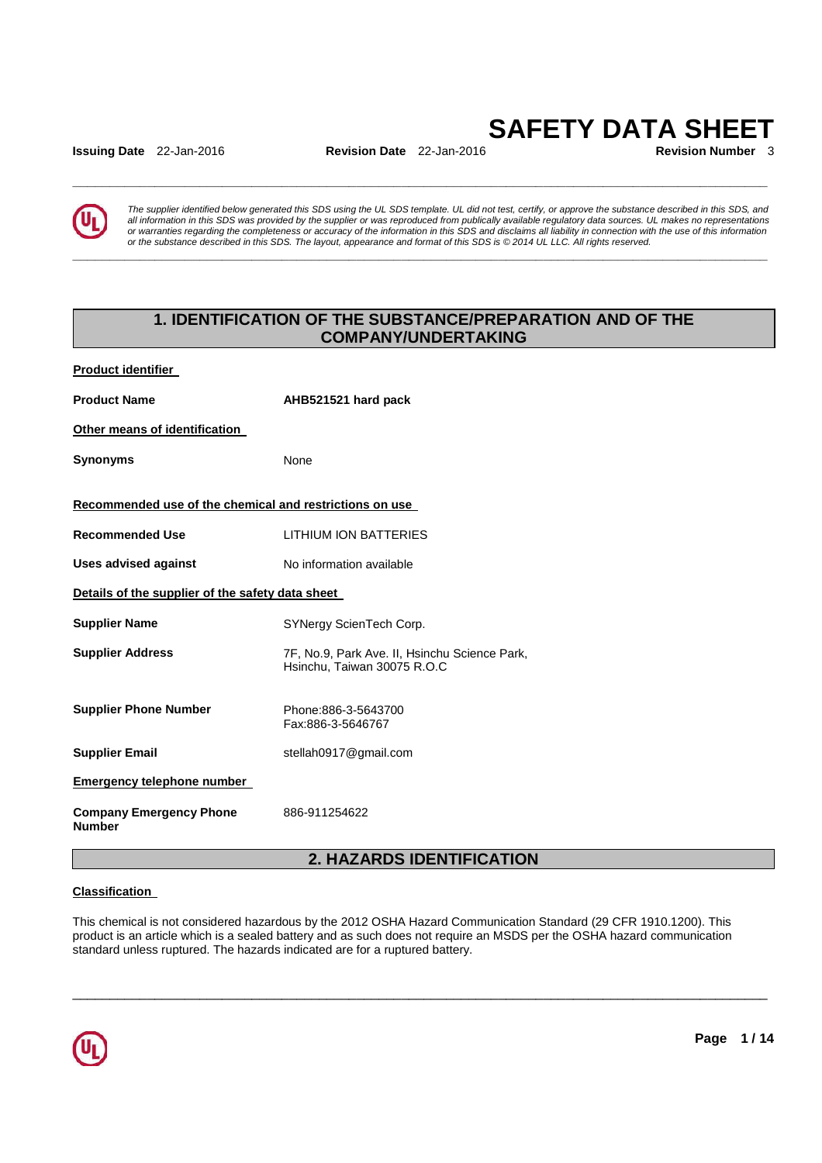**Issuing Date** 22-Jan-2016 **Revision Date** 22-Jan-2016

# **SAFETY DATA SHEET**

**\_\_\_\_\_\_\_\_\_\_\_\_\_\_\_\_\_\_\_\_\_\_\_\_\_\_\_\_\_\_\_\_\_\_\_\_\_\_\_\_\_\_\_\_\_\_\_\_\_\_\_\_\_\_\_\_\_\_\_\_\_\_\_\_\_\_\_\_\_\_\_\_\_\_\_\_\_\_\_\_\_\_\_\_\_\_\_\_\_\_\_\_\_** 

**\_\_\_\_\_\_\_\_\_\_\_\_\_\_\_\_\_\_\_\_\_\_\_\_\_\_\_\_\_\_\_\_\_\_\_\_\_\_\_\_\_\_\_\_\_\_\_\_\_\_\_\_\_\_\_\_\_\_\_\_\_\_\_\_\_\_\_\_\_\_\_\_\_\_\_\_\_\_\_\_\_\_\_\_\_\_\_\_\_\_\_\_\_** 



The supplier identified below generated this SDS using the UL SDS template. UL did not test, certify, or approve the substance described in this SDS, and all information in this SDS was provided by the supplier or was reproduced from publically available regulatory data sources. UL makes no representations or warranties regarding the completeness or accuracy of the information in this SDS and disclaims all liability in connection with the use of this information or the substance described in this SDS. The layout, appearance and format of this SDS is © 2014 UL LLC. All rights reserved.

# **1. IDENTIFICATION OF THE SUBSTANCE/PREPARATION AND OF THE COMPANY/UNDERTAKING**

**Product identifier** 

Product Name **AHB521521 hard pack Other means of identification Synonyms** None **Recommended use of the chemical and restrictions on use Recommended Use** LITHIUM ION BATTERIES **Uses advised against No information available Details of the supplier of the safety data sheet Supplier Name SYNergy ScienTech Corp. Supplier Address** 7F, No.9, Park Ave. II, Hsinchu Science Park, Hsinchu, Taiwan 30075 R.O.C **Supplier Phone Number** Phone:886-3-5643700 Fax:886-3-5646767 **Supplier Email** stellah0917@gmail.com **Emergency telephone number Company Emergency Phone Number**  886-911254622

# **2. HAZARDS IDENTIFICATION**

\_\_\_\_\_\_\_\_\_\_\_\_\_\_\_\_\_\_\_\_\_\_\_\_\_\_\_\_\_\_\_\_\_\_\_\_\_\_\_\_\_\_\_\_\_\_\_\_\_\_\_\_\_\_\_\_\_\_\_\_\_\_\_\_\_\_\_\_\_\_\_\_\_\_\_\_\_\_\_\_\_\_\_\_\_\_\_\_\_\_\_\_\_

# **Classification**

This chemical is not considered hazardous by the 2012 OSHA Hazard Communication Standard (29 CFR 1910.1200). This product is an article which is a sealed battery and as such does not require an MSDS per the OSHA hazard communication standard unless ruptured. The hazards indicated are for a ruptured battery.

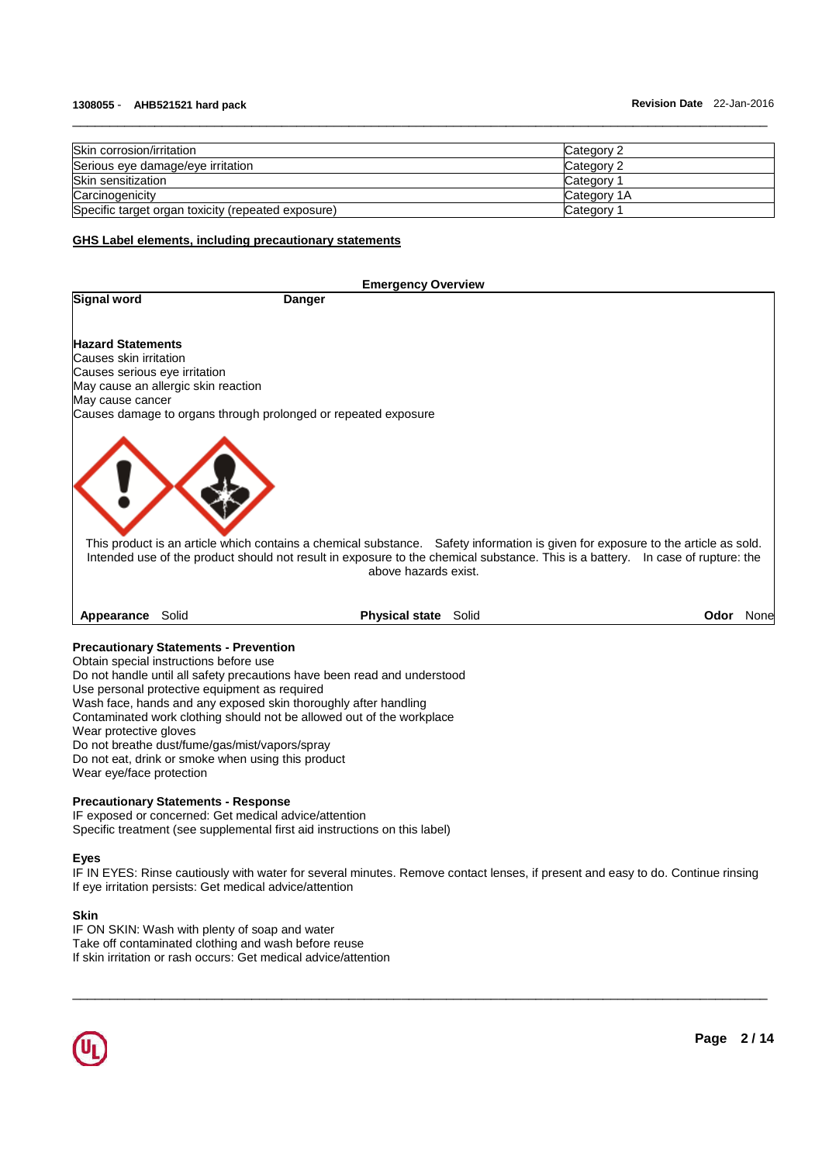| Skin corrosion/irritation                          | Category 2  |
|----------------------------------------------------|-------------|
| Serious eye damage/eye irritation                  | Category 2  |
| Skin sensitization                                 | Category 1  |
| Carcinogenicity                                    | Category 1A |
| Specific target organ toxicity (repeated exposure) | Category 1  |

\_\_\_\_\_\_\_\_\_\_\_\_\_\_\_\_\_\_\_\_\_\_\_\_\_\_\_\_\_\_\_\_\_\_\_\_\_\_\_\_\_\_\_\_\_\_\_\_\_\_\_\_\_\_\_\_\_\_\_\_\_\_\_\_\_\_\_\_\_\_\_\_\_\_\_\_\_\_\_\_\_\_\_\_\_\_\_\_\_\_\_\_\_

#### **GHS Label elements, including precautionary statements**

**Signal word Danger Construction** 

# **Emergency Overview**

**Hazard Statements** Causes skin irritation

Causes serious eye irritation May cause an allergic skin reaction May cause cancer

Causes damage to organs through prolonged or repeated exposure



This product is an article which contains a chemical substance. Safety information is given for exposure to the article as sold. Intended use of the product should not result in exposure to the chemical substance. This is a battery. In case of rupture: the above hazards exist.

**Appearance** Solid **Physical state** Solid **Odor** None

#### **Precautionary Statements - Prevention**

Obtain special instructions before use Do not handle until all safety precautions have been read and understood Use personal protective equipment as required Wash face, hands and any exposed skin thoroughly after handling Contaminated work clothing should not be allowed out of the workplace Wear protective gloves Do not breathe dust/fume/gas/mist/vapors/spray Do not eat, drink or smoke when using this product Wear eye/face protection

#### **Precautionary Statements - Response**

IF exposed or concerned: Get medical advice/attention Specific treatment (see supplemental first aid instructions on this label)

#### **Eyes**

IF IN EYES: Rinse cautiously with water for several minutes. Remove contact lenses, if present and easy to do. Continue rinsing If eye irritation persists: Get medical advice/attention

\_\_\_\_\_\_\_\_\_\_\_\_\_\_\_\_\_\_\_\_\_\_\_\_\_\_\_\_\_\_\_\_\_\_\_\_\_\_\_\_\_\_\_\_\_\_\_\_\_\_\_\_\_\_\_\_\_\_\_\_\_\_\_\_\_\_\_\_\_\_\_\_\_\_\_\_\_\_\_\_\_\_\_\_\_\_\_\_\_\_\_\_\_

# **Skin**

IF ON SKIN: Wash with plenty of soap and water Take off contaminated clothing and wash before reuse If skin irritation or rash occurs: Get medical advice/attention

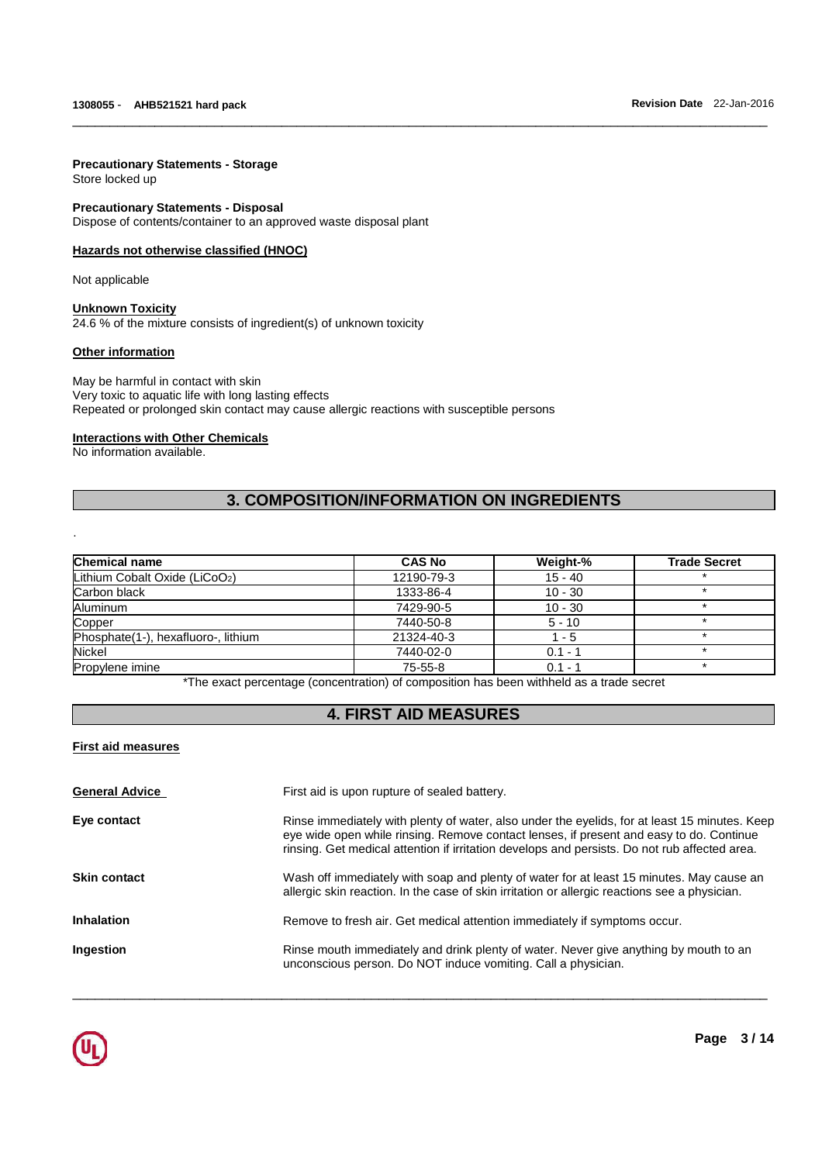# **Precautionary Statements - Storage**

Store locked up

#### **Precautionary Statements - Disposal**

Dispose of contents/container to an approved waste disposal plant

#### **Hazards not otherwise classified (HNOC)**

Not applicable

# **Unknown Toxicity**

24.6 % of the mixture consists of ingredient(s) of unknown toxicity

#### **Other information**

May be harmful in contact with skin Very toxic to aquatic life with long lasting effects Repeated or prolonged skin contact may cause allergic reactions with susceptible persons

#### **Interactions with Other Chemicals**

No information available.

.

# **3. COMPOSITION/INFORMATION ON INGREDIENTS**

\_\_\_\_\_\_\_\_\_\_\_\_\_\_\_\_\_\_\_\_\_\_\_\_\_\_\_\_\_\_\_\_\_\_\_\_\_\_\_\_\_\_\_\_\_\_\_\_\_\_\_\_\_\_\_\_\_\_\_\_\_\_\_\_\_\_\_\_\_\_\_\_\_\_\_\_\_\_\_\_\_\_\_\_\_\_\_\_\_\_\_\_\_

| <b>Chemical name</b>                | <b>CAS No</b> | Weight-%  | <b>Trade Secret</b> |
|-------------------------------------|---------------|-----------|---------------------|
| Lithium Cobalt Oxide (LiCoO2)       | 12190-79-3    | $15 - 40$ |                     |
| Carbon black                        | 1333-86-4     | $10 - 30$ |                     |
| Aluminum                            | 7429-90-5     | $10 - 30$ |                     |
| Copper                              | 7440-50-8     | $5 - 10$  |                     |
| Phosphate(1-), hexafluoro-, lithium | 21324-40-3    | 1 - 5     |                     |
| <b>Nickel</b>                       | 7440-02-0     | $0.1 - 1$ |                     |
| Propylene imine                     | 75-55-8       | $0.1 - 1$ |                     |

\*The exact percentage (concentration) of composition has been withheld as a trade secret

# **4. FIRST AID MEASURES**

# **First aid measures**

| <b>General Advice</b> | First aid is upon rupture of sealed battery.                                                                                                                                                                                                                                              |
|-----------------------|-------------------------------------------------------------------------------------------------------------------------------------------------------------------------------------------------------------------------------------------------------------------------------------------|
| Eye contact           | Rinse immediately with plenty of water, also under the eyelids, for at least 15 minutes. Keep<br>eye wide open while rinsing. Remove contact lenses, if present and easy to do. Continue<br>rinsing. Get medical attention if irritation develops and persists. Do not rub affected area. |
| <b>Skin contact</b>   | Wash off immediately with soap and plenty of water for at least 15 minutes. May cause an<br>allergic skin reaction. In the case of skin irritation or allergic reactions see a physician.                                                                                                 |
| <b>Inhalation</b>     | Remove to fresh air. Get medical attention immediately if symptoms occur.                                                                                                                                                                                                                 |
| Ingestion             | Rinse mouth immediately and drink plenty of water. Never give anything by mouth to an<br>unconscious person. Do NOT induce vomiting. Call a physician.                                                                                                                                    |

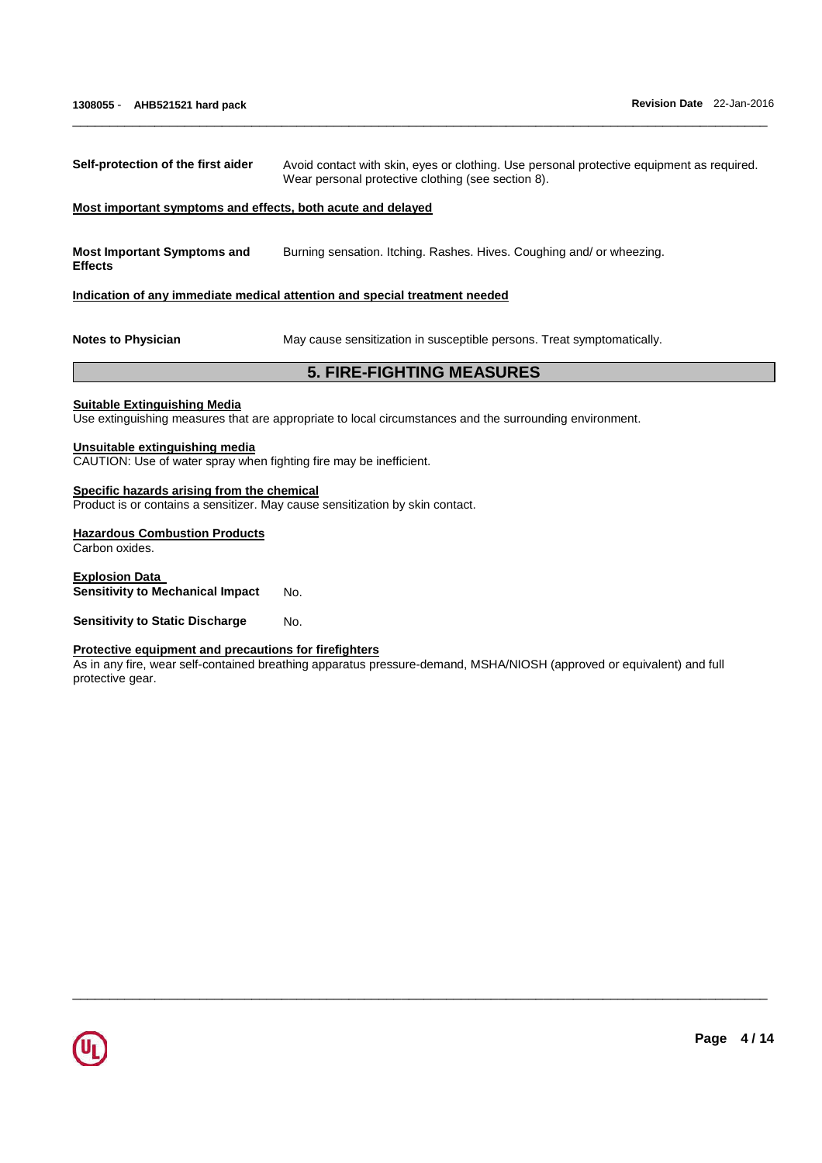| Self-protection of the first aider                                                                                          | Avoid contact with skin, eyes or clothing. Use personal protective equipment as required.<br>Wear personal protective clothing (see section 8). |  |  |
|-----------------------------------------------------------------------------------------------------------------------------|-------------------------------------------------------------------------------------------------------------------------------------------------|--|--|
| Most important symptoms and effects, both acute and delayed                                                                 |                                                                                                                                                 |  |  |
| <b>Most Important Symptoms and</b><br><b>Effects</b>                                                                        | Burning sensation. Itching. Rashes. Hives. Coughing and/ or wheezing.                                                                           |  |  |
|                                                                                                                             | Indication of any immediate medical attention and special treatment needed                                                                      |  |  |
| <b>Notes to Physician</b>                                                                                                   | May cause sensitization in susceptible persons. Treat symptomatically.                                                                          |  |  |
|                                                                                                                             | <b>5. FIRE-FIGHTING MEASURES</b>                                                                                                                |  |  |
| <b>Suitable Extinguishing Media</b>                                                                                         | Use extinguishing measures that are appropriate to local circumstances and the surrounding environment.                                         |  |  |
| Unsuitable extinguishing media<br>CAUTION: Use of water spray when fighting fire may be inefficient.                        |                                                                                                                                                 |  |  |
| Specific hazards arising from the chemical<br>Product is or contains a sensitizer. May cause sensitization by skin contact. |                                                                                                                                                 |  |  |
| <b>Hazardous Combustion Products</b><br>Carbon oxides.                                                                      |                                                                                                                                                 |  |  |
| <b>Explosion Data</b><br><b>Sensitivity to Mechanical Impact</b><br>No.                                                     |                                                                                                                                                 |  |  |

\_\_\_\_\_\_\_\_\_\_\_\_\_\_\_\_\_\_\_\_\_\_\_\_\_\_\_\_\_\_\_\_\_\_\_\_\_\_\_\_\_\_\_\_\_\_\_\_\_\_\_\_\_\_\_\_\_\_\_\_\_\_\_\_\_\_\_\_\_\_\_\_\_\_\_\_\_\_\_\_\_\_\_\_\_\_\_\_\_\_\_\_\_

**Sensitivity to Static Discharge Mo.** 

#### **Protective equipment and precautions for firefighters**

As in any fire, wear self-contained breathing apparatus pressure-demand, MSHA/NIOSH (approved or equivalent) and full protective gear.

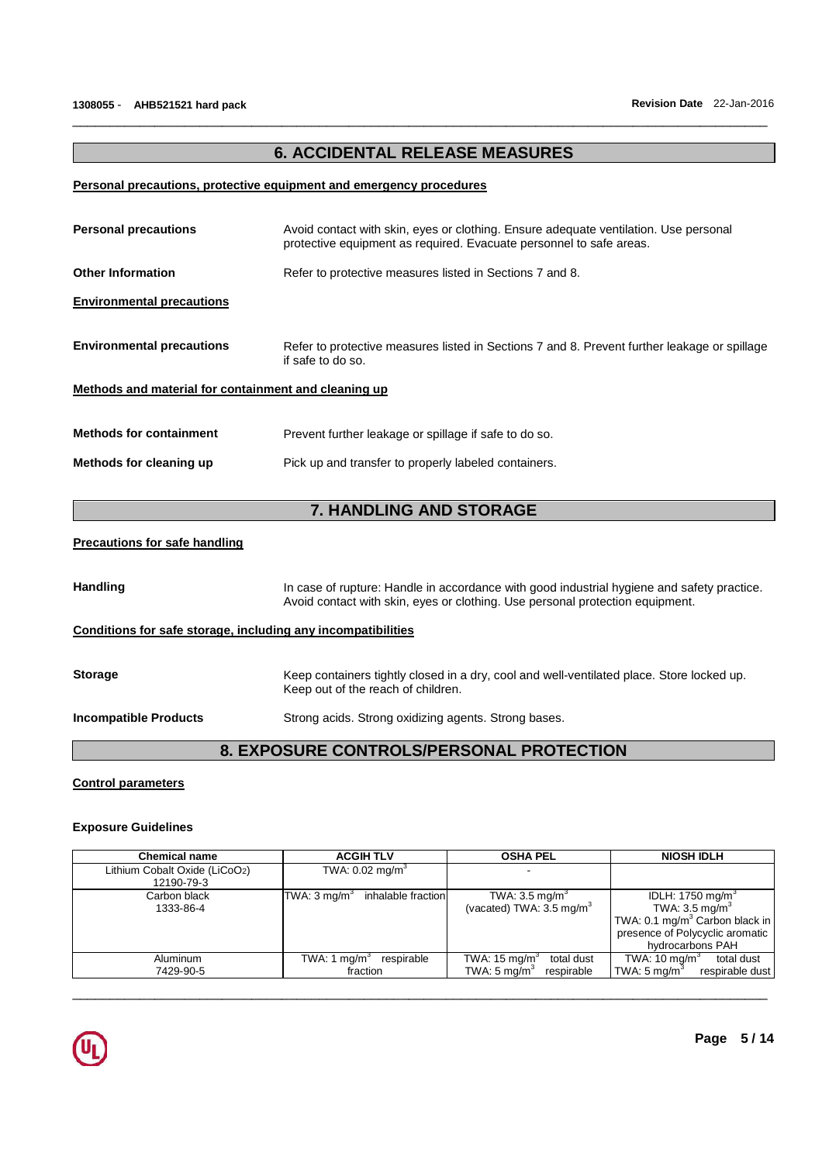# **6. ACCIDENTAL RELEASE MEASURES**

\_\_\_\_\_\_\_\_\_\_\_\_\_\_\_\_\_\_\_\_\_\_\_\_\_\_\_\_\_\_\_\_\_\_\_\_\_\_\_\_\_\_\_\_\_\_\_\_\_\_\_\_\_\_\_\_\_\_\_\_\_\_\_\_\_\_\_\_\_\_\_\_\_\_\_\_\_\_\_\_\_\_\_\_\_\_\_\_\_\_\_\_\_

# **Personal precautions, protective equipment and emergency procedures**

| <b>Personal precautions</b>                                 | Avoid contact with skin, eyes or clothing. Ensure adequate ventilation. Use personal<br>protective equipment as required. Evacuate personnel to safe areas. |
|-------------------------------------------------------------|-------------------------------------------------------------------------------------------------------------------------------------------------------------|
| <b>Other Information</b>                                    | Refer to protective measures listed in Sections 7 and 8.                                                                                                    |
| <b>Environmental precautions</b>                            |                                                                                                                                                             |
| <b>Environmental precautions</b>                            | Refer to protective measures listed in Sections 7 and 8. Prevent further leakage or spillage<br>if safe to do so.                                           |
| <u>Methods and material for containment and cleaning up</u> |                                                                                                                                                             |
| <b>Methods for containment</b>                              | Prevent further leakage or spillage if safe to do so.                                                                                                       |
| Methods for cleaning up                                     | Pick up and transfer to properly labeled containers.                                                                                                        |
|                                                             | 7. HANDLING AND STORAGE                                                                                                                                     |
| <b>Precautions for safe handling</b>                        |                                                                                                                                                             |
|                                                             |                                                                                                                                                             |

Handling **In case of rupture: Handle in accordance with good industrial hygiene and safety practice.** Avoid contact with skin, eyes or clothing. Use personal protection equipment.

# **Conditions for safe storage, including any incompatibilities**

| <b>Storage</b>               | Keep containers tightly closed in a dry, cool and well-ventilated place. Store locked up.<br>Keep out of the reach of children. |
|------------------------------|---------------------------------------------------------------------------------------------------------------------------------|
| <b>Incompatible Products</b> | Strong acids. Strong oxidizing agents. Strong bases.                                                                            |
|                              |                                                                                                                                 |

# **8. EXPOSURE CONTROLS/PERSONAL PROTECTION**

# **Control parameters**

# **Exposure Guidelines**

| <b>Chemical name</b>                        | <b>ACGIHTLV</b>                          | <b>OSHA PEL</b>                                                                 | <b>NIOSH IDLH</b>                                                                                                                                     |
|---------------------------------------------|------------------------------------------|---------------------------------------------------------------------------------|-------------------------------------------------------------------------------------------------------------------------------------------------------|
| Lithium Cobalt Oxide (LiCoO2)<br>12190-79-3 | TWA: $0.02$ mg/m <sup>3</sup>            |                                                                                 |                                                                                                                                                       |
| Carbon black<br>1333-86-4                   | TWA: 3 mg/m $3$<br>inhalable fraction    | TWA: $3.5 \text{ mg/m}^3$<br>(vacated) TWA: $3.5 \text{ mg/m}^3$                | IDLH: 1750 mg/m $3$<br>TWA: $3.5 \text{ mg/m}^3$<br>TWA: 0.1 mg/m <sup>3</sup> Carbon black in<br>presence of Polycyclic aromatic<br>hydrocarbons PAH |
| Aluminum<br>7429-90-5                       | TWA: 1 $mq/m3$<br>respirable<br>fraction | TWA: $15 \text{ mg/m}^3$<br>total dust<br>TWA: $5 \text{ mg/m}^3$<br>respirable | TWA: $10 \text{ mg/m}^3$<br>total dust<br>respirable dust<br>TWA: $5 \text{ mg/m}^3$                                                                  |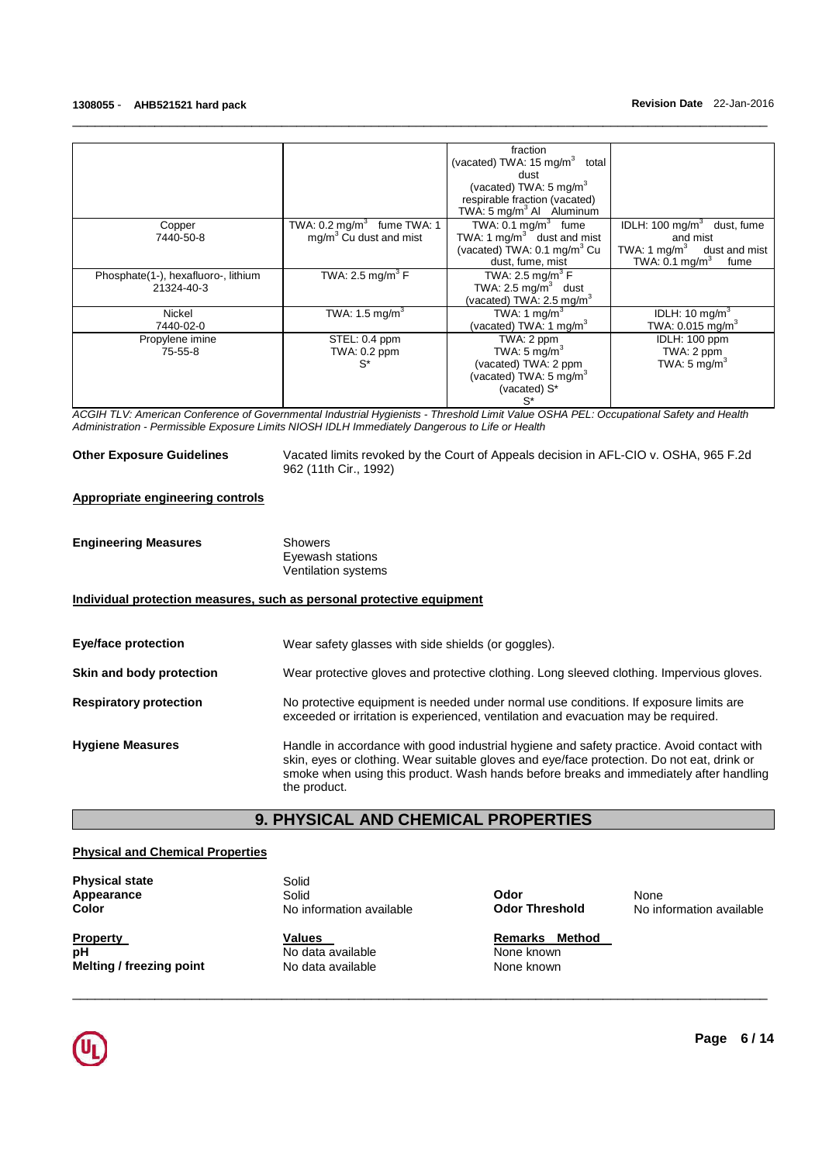|                                     |                                       | fraction                                    |                                          |
|-------------------------------------|---------------------------------------|---------------------------------------------|------------------------------------------|
|                                     |                                       | (vacated) TWA: $15 \text{ mg/m}^3$<br>total |                                          |
|                                     |                                       | dust                                        |                                          |
|                                     |                                       | (vacated) TWA: 5 mg/m <sup>3</sup>          |                                          |
|                                     |                                       | respirable fraction (vacated)               |                                          |
|                                     |                                       | TWA: 5 mg/m <sup>3</sup> Al Aluminum        |                                          |
| Copper                              | TWA: $0.2 \text{ mg/m}^3$ fume TWA: 1 | TWA: $0.1 \text{ mg/m}^3$ fume              | IDLH: $100 \text{ mg/m}^3$<br>dust, fume |
| 7440-50-8                           | mg/m <sup>3</sup> Cu dust and mist    | TWA: 1 $mg/m3$ dust and mist                | and mist                                 |
|                                     |                                       | (vacated) TWA: $0.1 \text{ mg/m}^3$ Cu      | TWA: 1 $mg/m3$ dust and mist             |
|                                     |                                       | dust, fume, mist                            | TWA: $0.1 \text{ mg/m}^3$<br>fume        |
| Phosphate(1-), hexafluoro-, lithium | TWA: 2.5 mg/m <sup>3</sup> F          | TWA: 2.5 mg/m <sup>3</sup> $F$              |                                          |
| 21324-40-3                          |                                       | TWA: 2.5 mg/m <sup>3</sup> dust             |                                          |
|                                     |                                       | (vacated) TWA: $2.5 \text{ mg/m}^3$         |                                          |
| Nickel                              | TWA: 1.5 mg/m <sup>3</sup>            | TWA: 1 mg/m <sup>3</sup>                    | IDLH: 10 mg/m <sup>3</sup>               |
| 7440-02-0                           |                                       | (vacated) TWA: 1 mg/m <sup>3</sup>          | TWA: $0.015$ mg/m <sup>3</sup>           |
| Propylene imine                     | STEL: 0.4 ppm                         | TWA: 2 ppm                                  | IDLH: 100 ppm                            |
| $75 - 55 - 8$                       | TWA: 0.2 ppm                          | TWA: $5 \text{ mg/m}^3$                     | TWA: 2 ppm                               |
|                                     | $S^*$                                 | (vacated) TWA: 2 ppm                        | TWA: $5 \text{ mg/m}^3$                  |
|                                     |                                       | (vacated) TWA: $5 \text{ mg/m}^3$           |                                          |
|                                     |                                       | (vacated) S*                                |                                          |
|                                     |                                       | $S^*$                                       |                                          |
|                                     |                                       |                                             |                                          |

\_\_\_\_\_\_\_\_\_\_\_\_\_\_\_\_\_\_\_\_\_\_\_\_\_\_\_\_\_\_\_\_\_\_\_\_\_\_\_\_\_\_\_\_\_\_\_\_\_\_\_\_\_\_\_\_\_\_\_\_\_\_\_\_\_\_\_\_\_\_\_\_\_\_\_\_\_\_\_\_\_\_\_\_\_\_\_\_\_\_\_\_\_

ACGIH TLV: American Conference of Governmental Industrial Hygienists - Threshold Limit Value OSHA PEL: Occupational Safety and Health Administration - Permissible Exposure Limits NIOSH IDLH Immediately Dangerous to Life or Health

**Other Exposure Guidelines** Vacated limits revoked by the Court of Appeals decision in AFL-CIO v. OSHA, 965 F.2d 962 (11th Cir., 1992)

# **Appropriate engineering controls**

| <b>Engineering Measures</b>   | <b>Showers</b><br>Eyewash stations<br><b>Ventilation systems</b>                                                                                                                                                                                                                                  |
|-------------------------------|---------------------------------------------------------------------------------------------------------------------------------------------------------------------------------------------------------------------------------------------------------------------------------------------------|
|                               | Individual protection measures, such as personal protective equipment                                                                                                                                                                                                                             |
| <b>Eye/face protection</b>    | Wear safety glasses with side shields (or goggles).                                                                                                                                                                                                                                               |
| Skin and body protection      | Wear protective gloves and protective clothing. Long sleeved clothing. Impervious gloves.                                                                                                                                                                                                         |
| <b>Respiratory protection</b> | No protective equipment is needed under normal use conditions. If exposure limits are<br>exceeded or irritation is experienced, ventilation and evacuation may be required.                                                                                                                       |
| <b>Hygiene Measures</b>       | Handle in accordance with good industrial hygiene and safety practice. Avoid contact with<br>skin, eyes or clothing. Wear suitable gloves and eye/face protection. Do not eat, drink or<br>smoke when using this product. Wash hands before breaks and immediately after handling<br>the product. |

# **9. PHYSICAL AND CHEMICAL PROPERTIES**

\_\_\_\_\_\_\_\_\_\_\_\_\_\_\_\_\_\_\_\_\_\_\_\_\_\_\_\_\_\_\_\_\_\_\_\_\_\_\_\_\_\_\_\_\_\_\_\_\_\_\_\_\_\_\_\_\_\_\_\_\_\_\_\_\_\_\_\_\_\_\_\_\_\_\_\_\_\_\_\_\_\_\_\_\_\_\_\_\_\_\_\_\_

# **Physical and Chemical Properties**

**Physical state Solid** 

**Property CONS Values CONS Remarks** Method **Remarks** Method **Remarks** Method **Melting / freezing point** 

**Appearance Colid Colid Colid Colid Colid Colid Colid Colid Colid Colid Colid Colid Colid Colid Colid Colid Colid Colid Colid Colid Colid Colid Colid Collid Collid Collid** 

**pH Note and the Set of Alleman and Set of Alleman Mone known**<br> **None known**<br>
None known<br>
None known

**Color No information available <b>Color Threshold** No information available

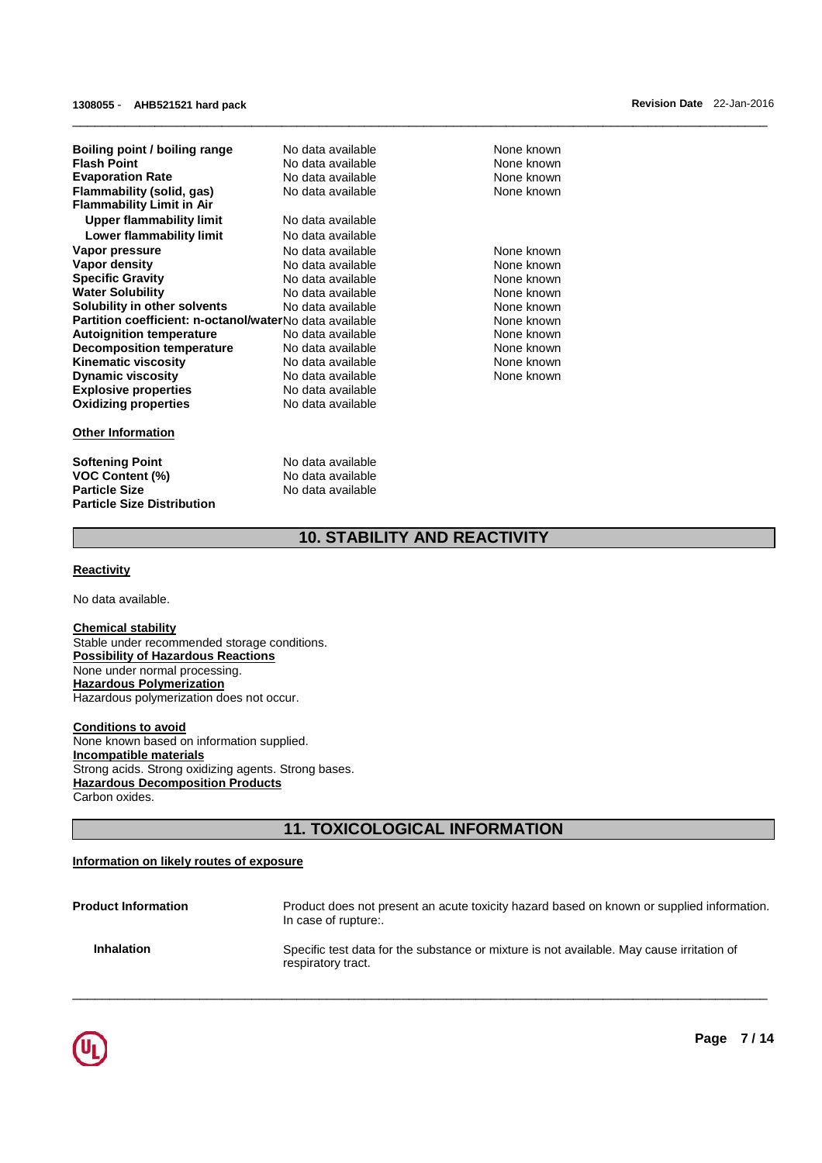| Boiling point / boiling range<br><b>Flash Point</b><br><b>Evaporation Rate</b><br>Flammability (solid, gas) | No data available<br>No data available<br>No data available<br>No data available |
|-------------------------------------------------------------------------------------------------------------|----------------------------------------------------------------------------------|
| <b>Flammability Limit in Air</b>                                                                            |                                                                                  |
| Upper flammability limit                                                                                    | No data available                                                                |
| Lower flammability limit                                                                                    | No data available                                                                |
| Vapor pressure                                                                                              | No data available                                                                |
| Vapor density                                                                                               | No data available                                                                |
| <b>Specific Gravity</b>                                                                                     | No data available                                                                |
| <b>Water Solubility</b>                                                                                     | No data available                                                                |
| Solubility in other solvents                                                                                | No data available                                                                |
| Partition coefficient: n-octanol/waterNo data available                                                     |                                                                                  |
| <b>Autoignition temperature</b>                                                                             | No data available                                                                |
| <b>Decomposition temperature</b>                                                                            | No data available                                                                |
| Kinematic viscosity                                                                                         | No data available                                                                |
| <b>Dynamic viscosity</b>                                                                                    | No data available                                                                |
| <b>Explosive properties</b>                                                                                 | No data available                                                                |
| <b>Oxidizing properties</b>                                                                                 | No data available                                                                |
|                                                                                                             |                                                                                  |

# **Other Information**

**Softening Point No data available VOC Content (%)** <br> **Particle Size No data available**<br>
No data available **Particle Size Distribution** 

**Particle Size** No data available

**None known None known None known None known None known None known None known None known None known None known None known None known None known None known** 

# **10. STABILITY AND REACTIVITY**

\_\_\_\_\_\_\_\_\_\_\_\_\_\_\_\_\_\_\_\_\_\_\_\_\_\_\_\_\_\_\_\_\_\_\_\_\_\_\_\_\_\_\_\_\_\_\_\_\_\_\_\_\_\_\_\_\_\_\_\_\_\_\_\_\_\_\_\_\_\_\_\_\_\_\_\_\_\_\_\_\_\_\_\_\_\_\_\_\_\_\_\_\_

# **Reactivity**

No data available.

# **Chemical stability**

Stable under recommended storage conditions. **Possibility of Hazardous Reactions** None under normal processing. **Hazardous Polymerization** Hazardous polymerization does not occur.

**Conditions to avoid** None known based on information supplied. **Incompatible materials** Strong acids. Strong oxidizing agents. Strong bases. **Hazardous Decomposition Products** Carbon oxides.

# **11. TOXICOLOGICAL INFORMATION**

# **Information on likely routes of exposure**

| <b>Product Information</b> | Product does not present an acute toxicity hazard based on known or supplied information.<br>In case of rupture: |
|----------------------------|------------------------------------------------------------------------------------------------------------------|
| <b>Inhalation</b>          | Specific test data for the substance or mixture is not available. May cause irritation of<br>respiratory tract.  |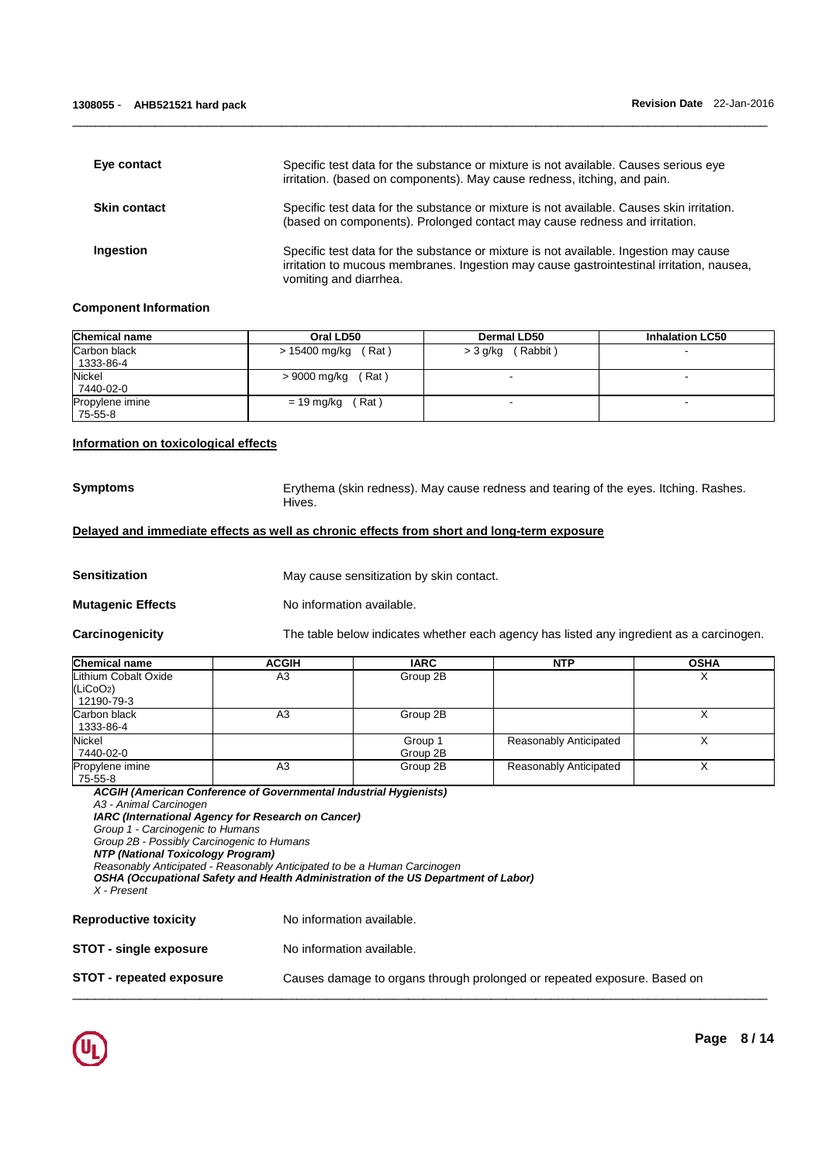| Eye contact         | Specific test data for the substance or mixture is not available. Causes serious eye<br>irritation. (based on components). May cause redness, itching, and pain.                                            |
|---------------------|-------------------------------------------------------------------------------------------------------------------------------------------------------------------------------------------------------------|
| <b>Skin contact</b> | Specific test data for the substance or mixture is not available. Causes skin irritation.<br>(based on components). Prolonged contact may cause redness and irritation.                                     |
| Ingestion           | Specific test data for the substance or mixture is not available. Ingestion may cause<br>irritation to mucous membranes. Ingestion may cause gastrointestinal irritation, nausea,<br>vomiting and diarrhea. |

\_\_\_\_\_\_\_\_\_\_\_\_\_\_\_\_\_\_\_\_\_\_\_\_\_\_\_\_\_\_\_\_\_\_\_\_\_\_\_\_\_\_\_\_\_\_\_\_\_\_\_\_\_\_\_\_\_\_\_\_\_\_\_\_\_\_\_\_\_\_\_\_\_\_\_\_\_\_\_\_\_\_\_\_\_\_\_\_\_\_\_\_\_

# **Component Information**

| <b>Chemical name</b>              | Oral LD50                | <b>Dermal LD50</b>   | <b>Inhalation LC50</b> |
|-----------------------------------|--------------------------|----------------------|------------------------|
| Carbon black<br>1333-86-4         | (Rat)<br>> 15400 mg/kg   | (Rabbit)<br>> 3 g/kg |                        |
| Nickel<br>7440-02-0               | $'$ Rat)<br>> 9000 mg/kg |                      |                        |
| <b>Propylene</b> imine<br>75-55-8 | (Rat)<br>$= 19$ mg/kg    |                      |                        |

# **Information on toxicological effects**

**Symptoms** Erythema (skin redness). May cause redness and tearing of the eyes. Itching. Rashes. Hives.

# **Delayed and immediate effects as well as chronic effects from short and long-term exposure**

**Sensitization May cause sensitization by skin contact.** 

**Mutagenic Effects** No information available.

**Carcinogenicity** The table below indicates whether each agency has listed any ingredient as a carcinogen.

| <b>Chemical name</b>                                        | <b>ACGIH</b> | <b>IARC</b>         | <b>NTP</b>             | <b>OSHA</b> |
|-------------------------------------------------------------|--------------|---------------------|------------------------|-------------|
| Lithium Cobalt Oxide<br>(LiCoO <sub>2</sub> )<br>12190-79-3 | A3           | Group 2B            |                        |             |
| Carbon black<br>1333-86-4                                   | A3           | Group 2B            |                        |             |
| Nickel<br>7440-02-0                                         |              | Group 1<br>Group 2B | Reasonably Anticipated |             |
| Propylene imine<br>75-55-8                                  | A3           | Group 2B            | Reasonably Anticipated |             |

\_\_\_\_\_\_\_\_\_\_\_\_\_\_\_\_\_\_\_\_\_\_\_\_\_\_\_\_\_\_\_\_\_\_\_\_\_\_\_\_\_\_\_\_\_\_\_\_\_\_\_\_\_\_\_\_\_\_\_\_\_\_\_\_\_\_\_\_\_\_\_\_\_\_\_\_\_\_\_\_\_\_\_\_\_\_\_\_\_\_\_\_\_

**ACGIH (American Conference of Governmental Industrial Hygienists)** 

A3 - Animal Carcinogen

**IARC (International Agency for Research on Cancer)** 

Group 1 - Carcinogenic to Humans Group 2B - Possibly Carcinogenic to Humans

**NTP (National Toxicology Program)**

Reasonably Anticipated - Reasonably Anticipated to be a Human Carcinogen

**OSHA (Occupational Safety and Health Administration of the US Department of Labor)**

X - Present

**Reproductive toxicity No information available.** 

**STOT - single exposure** No information available.

**STOT - repeated exposure** Causes damage to organs through prolonged or repeated exposure. Based on

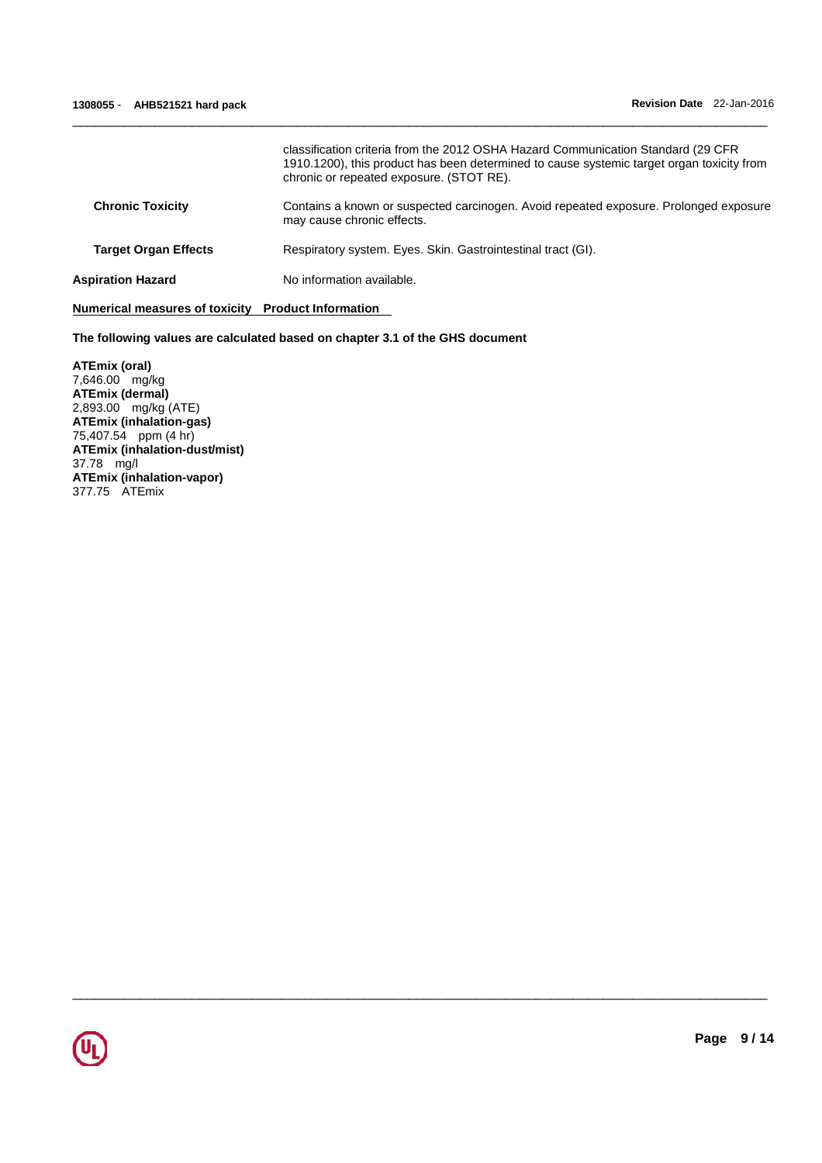|                             | classification criteria from the 2012 OSHA Hazard Communication Standard (29 CFR<br>1910.1200), this product has been determined to cause systemic target organ toxicity from<br>chronic or repeated exposure. (STOT RE). |
|-----------------------------|---------------------------------------------------------------------------------------------------------------------------------------------------------------------------------------------------------------------------|
| <b>Chronic Toxicity</b>     | Contains a known or suspected carcinogen. Avoid repeated exposure. Prolonged exposure<br>may cause chronic effects.                                                                                                       |
| <b>Target Organ Effects</b> | Respiratory system. Eyes. Skin. Gastrointestinal tract (GI).                                                                                                                                                              |
| <b>Aspiration Hazard</b>    | No information available.                                                                                                                                                                                                 |

\_\_\_\_\_\_\_\_\_\_\_\_\_\_\_\_\_\_\_\_\_\_\_\_\_\_\_\_\_\_\_\_\_\_\_\_\_\_\_\_\_\_\_\_\_\_\_\_\_\_\_\_\_\_\_\_\_\_\_\_\_\_\_\_\_\_\_\_\_\_\_\_\_\_\_\_\_\_\_\_\_\_\_\_\_\_\_\_\_\_\_\_\_

\_\_\_\_\_\_\_\_\_\_\_\_\_\_\_\_\_\_\_\_\_\_\_\_\_\_\_\_\_\_\_\_\_\_\_\_\_\_\_\_\_\_\_\_\_\_\_\_\_\_\_\_\_\_\_\_\_\_\_\_\_\_\_\_\_\_\_\_\_\_\_\_\_\_\_\_\_\_\_\_\_\_\_\_\_\_\_\_\_\_\_\_\_

# **Numerical measures of toxicity Product Information**

**The following values are calculated based on chapter 3.1 of the GHS document**

**ATEmix (oral)** 7,646.00 mg/kg **ATEmix (dermal)** 2,893.00 mg/kg (ATE) **ATEmix (inhalation-gas)** 75,407.54 ppm (4 hr) **ATEmix (inhalation-dust/mist)** 37.78 mg/l **ATEmix (inhalation-vapor)** 377.75 ATEmix

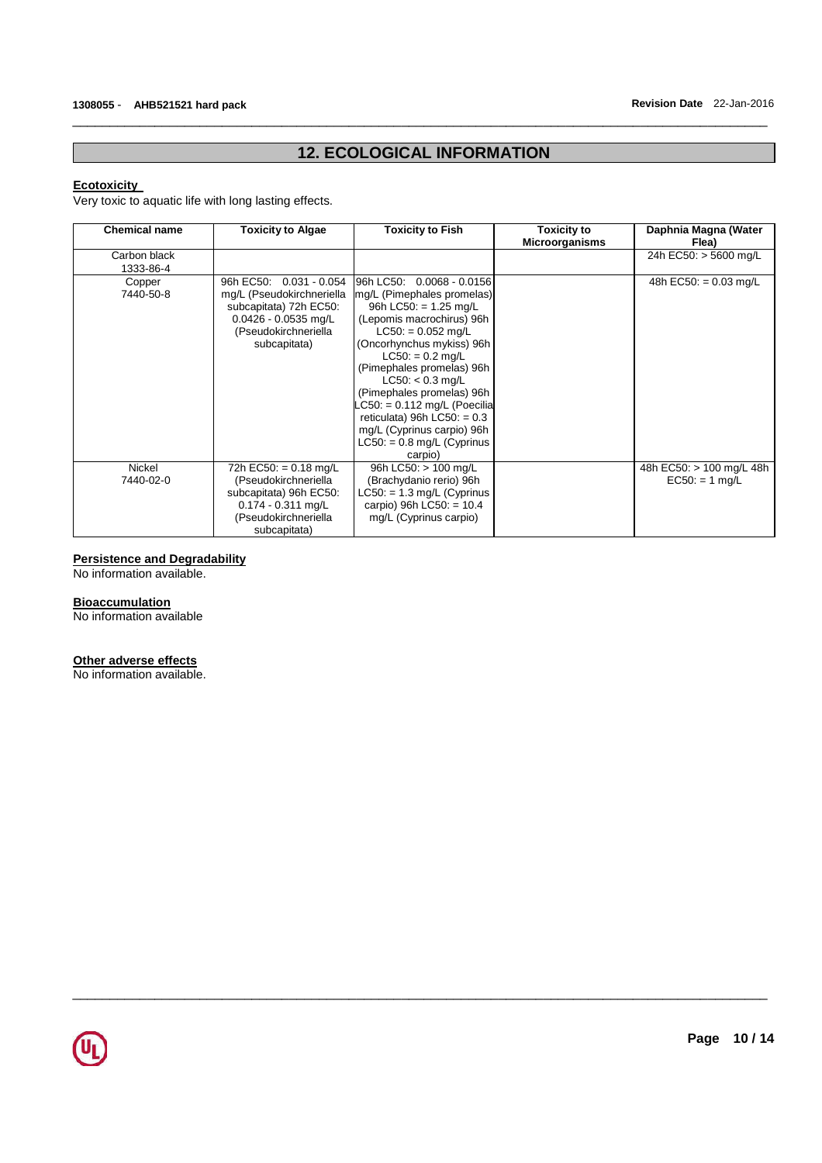# **12. ECOLOGICAL INFORMATION**

\_\_\_\_\_\_\_\_\_\_\_\_\_\_\_\_\_\_\_\_\_\_\_\_\_\_\_\_\_\_\_\_\_\_\_\_\_\_\_\_\_\_\_\_\_\_\_\_\_\_\_\_\_\_\_\_\_\_\_\_\_\_\_\_\_\_\_\_\_\_\_\_\_\_\_\_\_\_\_\_\_\_\_\_\_\_\_\_\_\_\_\_\_

# **Ecotoxicity**

Very toxic to aquatic life with long lasting effects.

| <b>Chemical name</b>       | <b>Toxicity to Algae</b>                                                                                                                              | Toxicity to Fish                                                                                                                                                                                                                                                                                                                                                                                                               | <b>Toxicity to</b><br><b>Microorganisms</b> | Daphnia Magna (Water<br>Flea)                |
|----------------------------|-------------------------------------------------------------------------------------------------------------------------------------------------------|--------------------------------------------------------------------------------------------------------------------------------------------------------------------------------------------------------------------------------------------------------------------------------------------------------------------------------------------------------------------------------------------------------------------------------|---------------------------------------------|----------------------------------------------|
| Carbon black<br>1333-86-4  |                                                                                                                                                       |                                                                                                                                                                                                                                                                                                                                                                                                                                |                                             | 24h EC50: > 5600 mg/L                        |
| Copper<br>7440-50-8        | 96h EC50:<br>$0.031 - 0.054$<br>mg/L (Pseudokirchneriella<br>subcapitata) 72h EC50:<br>$0.0426 - 0.0535$ mg/L<br>(Pseudokirchneriella<br>subcapitata) | 96h LC50: 0.0068 - 0.0156<br>mg/L (Pimephales promelas)<br>96h LC50: $= 1.25$ mg/L<br>(Lepomis macrochirus) 96h<br>$LC50: = 0.052$ mg/L<br>(Oncorhynchus mykiss) 96h<br>$LC50: = 0.2$ mg/L<br>(Pimephales promelas) 96h<br>$LC50: < 0.3$ mg/L<br>(Pimephales promelas) 96h<br>$\text{C50}$ : = 0.112 mg/L (Poecilia<br>reticulata) 96h $LC50$ : = 0.3<br>mg/L (Cyprinus carpio) 96h<br>$LC50: = 0.8$ mg/L (Cyprinus<br>carpio) |                                             | 48h EC50: = $0.03$ mg/L                      |
| <b>Nickel</b><br>7440-02-0 | 72h EC50: = $0.18 \text{ mg/L}$<br>(Pseudokirchneriella<br>subcapitata) 96h EC50:<br>$0.174 - 0.311$ mg/L<br>(Pseudokirchneriella<br>subcapitata)     | 96h LC50: > 100 mg/L<br>(Brachydanio rerio) 96h<br>$LC50: = 1.3$ mg/L (Cyprinus<br>carpio) 96h LC50: = $10.4$<br>mg/L (Cyprinus carpio)                                                                                                                                                                                                                                                                                        |                                             | 48h EC50: > 100 mg/L 48h<br>$EC50: = 1 mg/L$ |

\_\_\_\_\_\_\_\_\_\_\_\_\_\_\_\_\_\_\_\_\_\_\_\_\_\_\_\_\_\_\_\_\_\_\_\_\_\_\_\_\_\_\_\_\_\_\_\_\_\_\_\_\_\_\_\_\_\_\_\_\_\_\_\_\_\_\_\_\_\_\_\_\_\_\_\_\_\_\_\_\_\_\_\_\_\_\_\_\_\_\_\_\_

# **Persistence and Degradability**

No information available.

# **Bioaccumulation**

No information available

#### **Other adverse effects**

No information available.

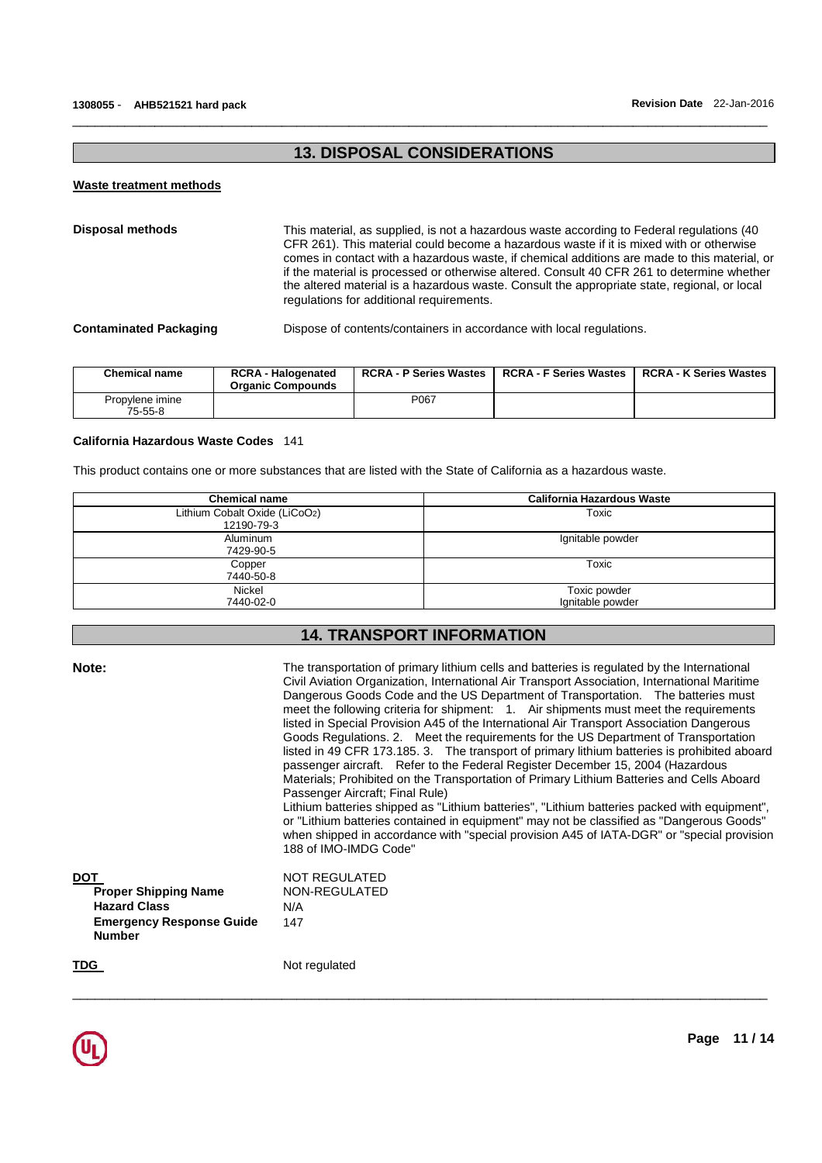# **13. DISPOSAL CONSIDERATIONS**

\_\_\_\_\_\_\_\_\_\_\_\_\_\_\_\_\_\_\_\_\_\_\_\_\_\_\_\_\_\_\_\_\_\_\_\_\_\_\_\_\_\_\_\_\_\_\_\_\_\_\_\_\_\_\_\_\_\_\_\_\_\_\_\_\_\_\_\_\_\_\_\_\_\_\_\_\_\_\_\_\_\_\_\_\_\_\_\_\_\_\_\_\_

#### **Waste treatment methods**

**Disposal methods** This material, as supplied, is not a hazardous waste according to Federal regulations (40 CFR 261). This material could become a hazardous waste if it is mixed with or otherwise comes in contact with a hazardous waste, if chemical additions are made to this material, or if the material is processed or otherwise altered. Consult 40 CFR 261 to determine whether the altered material is a hazardous waste. Consult the appropriate state, regional, or local regulations for additional requirements.

**Contaminated Packaging** Dispose of contents/containers in accordance with local regulations.

| Chemical name              | <b>RCRA - Halogenated</b><br><b>Organic Compounds</b> | <b>RCRA - P Series Wastes</b> | <b>RCRA - F Series Wastes</b> | <b>RCRA - K Series Wastes</b> |
|----------------------------|-------------------------------------------------------|-------------------------------|-------------------------------|-------------------------------|
| Propylene imine<br>75-55-8 |                                                       | P067                          |                               |                               |

#### **California Hazardous Waste Codes** 141

This product contains one or more substances that are listed with the State of California as a hazardous waste.

| <b>Chemical name</b>                        | California Hazardous Waste       |
|---------------------------------------------|----------------------------------|
| Lithium Cobalt Oxide (LiCoO2)<br>12190-79-3 | Toxic                            |
| Aluminum<br>7429-90-5                       | Ignitable powder                 |
| Copper<br>7440-50-8                         | Toxic                            |
| <b>Nickel</b><br>7440-02-0                  | Toxic powder<br>Ignitable powder |

# **14. TRANSPORT INFORMATION**

| Note:                                                                                                                | The transportation of primary lithium cells and batteries is regulated by the International<br>Civil Aviation Organization, International Air Transport Association, International Maritime<br>Dangerous Goods Code and the US Department of Transportation.  The batteries must<br>meet the following criteria for shipment: 1. Air shipments must meet the requirements<br>listed in Special Provision A45 of the International Air Transport Association Dangerous<br>Goods Regulations. 2. Meet the requirements for the US Department of Transportation<br>listed in 49 CFR 173.185. 3. The transport of primary lithium batteries is prohibited aboard<br>passenger aircraft. Refer to the Federal Register December 15, 2004 (Hazardous<br>Materials; Prohibited on the Transportation of Primary Lithium Batteries and Cells Aboard<br>Passenger Aircraft; Final Rule)<br>Lithium batteries shipped as "Lithium batteries", "Lithium batteries packed with equipment",<br>or "Lithium batteries contained in equipment" may not be classified as "Dangerous Goods"<br>when shipped in accordance with "special provision A45 of IATA-DGR" or "special provision<br>188 of IMO-IMDG Code" |
|----------------------------------------------------------------------------------------------------------------------|--------------------------------------------------------------------------------------------------------------------------------------------------------------------------------------------------------------------------------------------------------------------------------------------------------------------------------------------------------------------------------------------------------------------------------------------------------------------------------------------------------------------------------------------------------------------------------------------------------------------------------------------------------------------------------------------------------------------------------------------------------------------------------------------------------------------------------------------------------------------------------------------------------------------------------------------------------------------------------------------------------------------------------------------------------------------------------------------------------------------------------------------------------------------------------------------------|
| <b>DOT</b><br><b>Proper Shipping Name</b><br><b>Hazard Class</b><br><b>Emergency Response Guide</b><br><b>Number</b> | NOT REGULATED<br>NON-REGULATED<br>N/A<br>147                                                                                                                                                                                                                                                                                                                                                                                                                                                                                                                                                                                                                                                                                                                                                                                                                                                                                                                                                                                                                                                                                                                                                     |
| TDG                                                                                                                  | Not regulated                                                                                                                                                                                                                                                                                                                                                                                                                                                                                                                                                                                                                                                                                                                                                                                                                                                                                                                                                                                                                                                                                                                                                                                    |

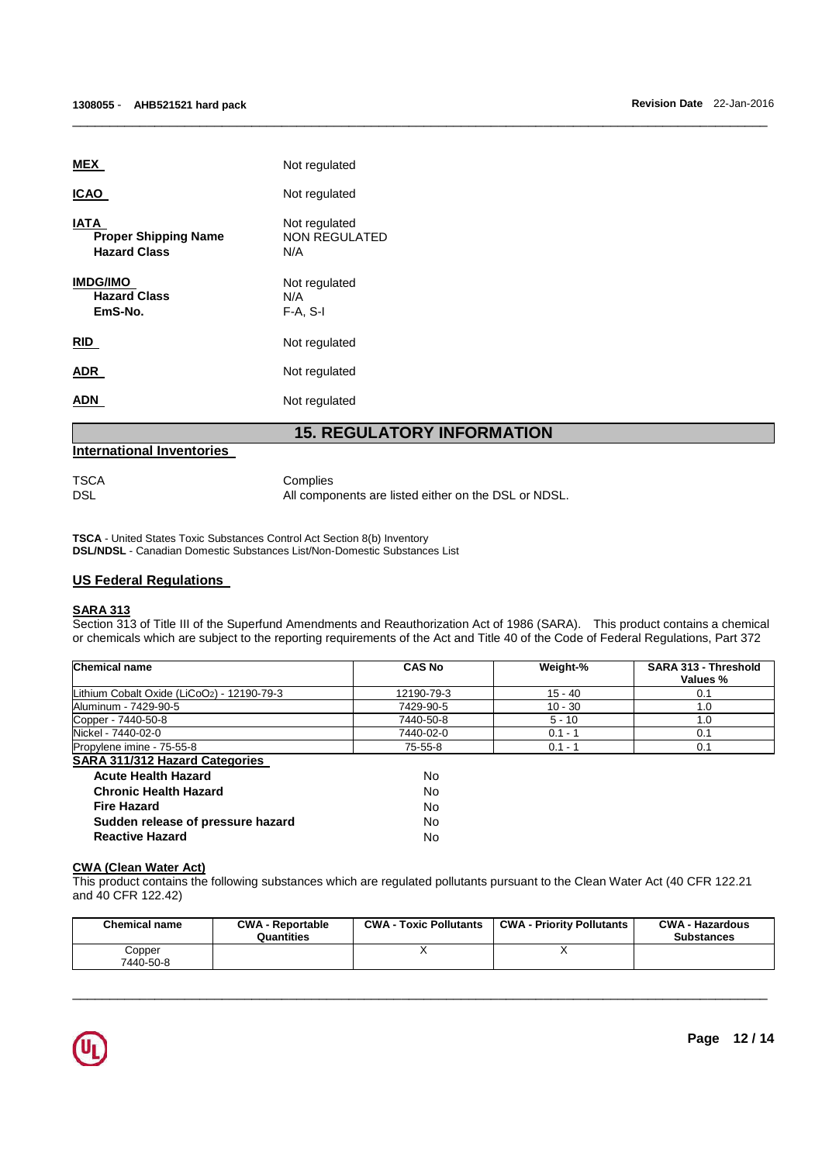| <b>ADN</b>                                                        | Not regulated                                |
|-------------------------------------------------------------------|----------------------------------------------|
| ADR                                                               | Not regulated                                |
| RID                                                               | Not regulated                                |
| <b>IMDG/IMO</b><br><b>Hazard Class</b><br>EmS-No.                 | Not regulated<br>N/A<br>$F-A, S-I$           |
| <b>IATA</b><br><b>Proper Shipping Name</b><br><b>Hazard Class</b> | Not regulated<br><b>NON REGULATED</b><br>N/A |
| <b>ICAO</b>                                                       | Not regulated                                |
| <b>MEX</b>                                                        | Not regulated                                |

# **International Inventories**

TSCA Complies

DSL DSL All components are listed either on the DSL or NDSL.

\_\_\_\_\_\_\_\_\_\_\_\_\_\_\_\_\_\_\_\_\_\_\_\_\_\_\_\_\_\_\_\_\_\_\_\_\_\_\_\_\_\_\_\_\_\_\_\_\_\_\_\_\_\_\_\_\_\_\_\_\_\_\_\_\_\_\_\_\_\_\_\_\_\_\_\_\_\_\_\_\_\_\_\_\_\_\_\_\_\_\_\_\_

**TSCA** - United States Toxic Substances Control Act Section 8(b) Inventory **DSL/NDSL** - Canadian Domestic Substances List/Non-Domestic Substances List

# **US Federal Regulations**

# **SARA 313**

Section 313 of Title III of the Superfund Amendments and Reauthorization Act of 1986 (SARA). This product contains a chemical or chemicals which are subject to the reporting requirements of the Act and Title 40 of the Code of Federal Regulations, Part 372

| <b>Chemical name</b>                       | <b>CAS No</b> | Weight-%  | SARA 313 - Threshold<br>Values % |
|--------------------------------------------|---------------|-----------|----------------------------------|
| Lithium Cobalt Oxide (LiCoO2) - 12190-79-3 | 12190-79-3    | $15 - 40$ | 0.1                              |
| Aluminum - 7429-90-5                       | 7429-90-5     | $10 - 30$ | 1.0                              |
| Copper - 7440-50-8                         | 7440-50-8     | $5 - 10$  | 1.0                              |
| Nickel - 7440-02-0                         | 7440-02-0     | $0.1 - 1$ | 0.1                              |
| Propylene imine - 75-55-8                  | 75-55-8       | $0.1 - 1$ | 0.1                              |
| <b>SARA 311/312 Hazard Categories</b>      |               |           |                                  |
| <b>Acute Health Hazard</b>                 | No            |           |                                  |

| IVO. |
|------|
| No.  |
| No.  |
| No.  |
| No.  |
|      |

#### **CWA (Clean Water Act)**

This product contains the following substances which are regulated pollutants pursuant to the Clean Water Act (40 CFR 122.21 and 40 CFR 122.42)

| <b>Chemical name</b> | <b>CWA - Reportable</b><br>Quantities | <b>CWA - Toxic Pollutants</b> | <b>CWA - Priority Pollutants</b> | <b>CWA - Hazardous</b><br><b>Substances</b> |
|----------------------|---------------------------------------|-------------------------------|----------------------------------|---------------------------------------------|
| Copper<br>7440-50-8  |                                       |                               |                                  |                                             |

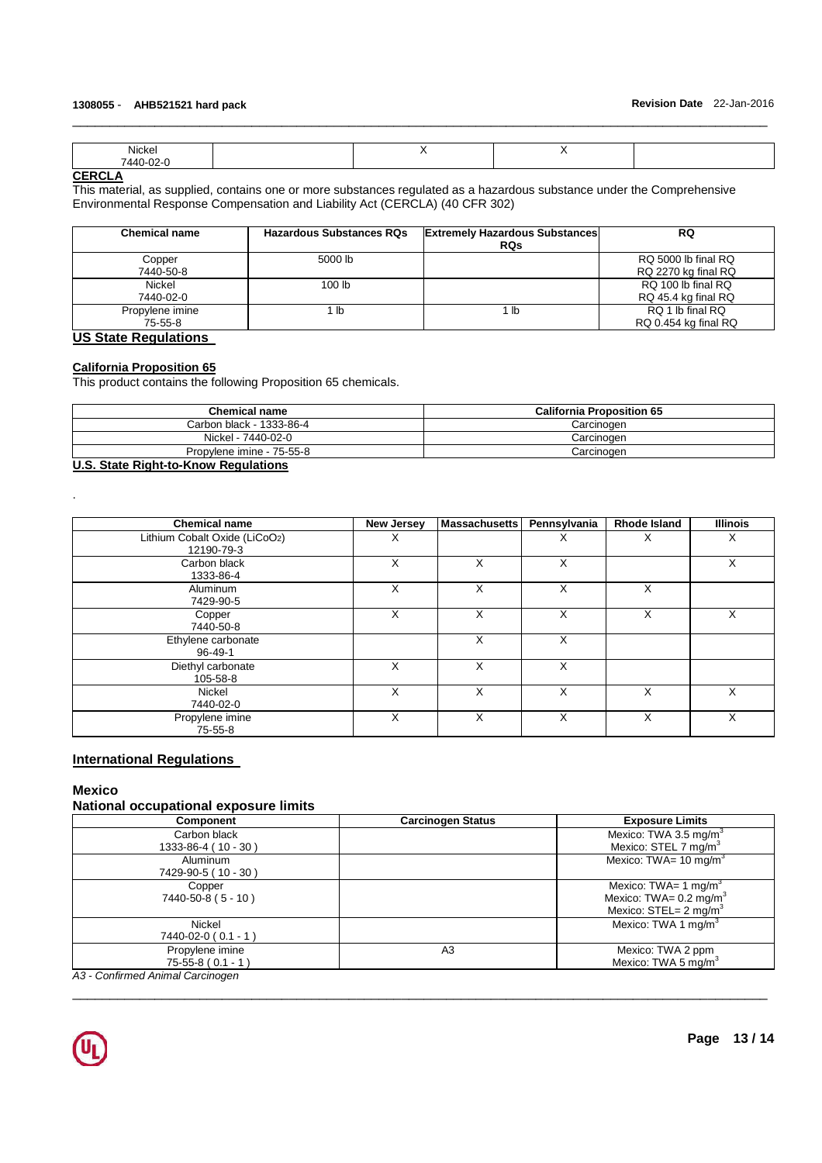| Nickel                                |  | - - |  |
|---------------------------------------|--|-----|--|
| $-02 -$<br>$ -$<br><u> ИЛИ.</u><br>᠇᠊ |  |     |  |

\_\_\_\_\_\_\_\_\_\_\_\_\_\_\_\_\_\_\_\_\_\_\_\_\_\_\_\_\_\_\_\_\_\_\_\_\_\_\_\_\_\_\_\_\_\_\_\_\_\_\_\_\_\_\_\_\_\_\_\_\_\_\_\_\_\_\_\_\_\_\_\_\_\_\_\_\_\_\_\_\_\_\_\_\_\_\_\_\_\_\_\_\_

# **CERCLA**

This material, as supplied, contains one or more substances regulated as a hazardous substance under the Comprehensive Environmental Response Compensation and Liability Act (CERCLA) (40 CFR 302)

| <b>Chemical name</b> | <b>Hazardous Substances RQs</b> | <b>Extremely Hazardous Substances</b> | <b>RQ</b>            |
|----------------------|---------------------------------|---------------------------------------|----------------------|
|                      |                                 | <b>RQs</b>                            |                      |
| Copper               | 5000 lb                         |                                       | RQ 5000 lb final RQ  |
| 7440-50-8            |                                 |                                       | RQ 2270 kg final RQ  |
| Nickel               | 100 <sub>lb</sub>               |                                       | RQ 100 lb final RQ   |
| 7440-02-0            |                                 |                                       | RQ 45.4 kg final RQ  |
| Propylene imine      | ∣ lb                            | 1 lb                                  | RQ 1 lb final RQ     |
| 75-55-8              |                                 |                                       | RQ 0.454 kg final RQ |

# **US State Regulations**

# **California Proposition 65**

This product contains the following Proposition 65 chemicals.

| <b>California Proposition 65</b> |
|----------------------------------|
| Carcinogen                       |
| Carcinoɑen                       |
| Carcinogen                       |
|                                  |

# **U.S. State Right-to-Know Regulations**

| <b>Chemical name</b>          | <b>New Jersey</b> | <b>Massachusetts</b> | Pennsylvania | <b>Rhode Island</b> | <b>Illinois</b> |
|-------------------------------|-------------------|----------------------|--------------|---------------------|-----------------|
| Lithium Cobalt Oxide (LiCoO2) | Х                 |                      | х            | ⋏                   | X               |
| 12190-79-3                    |                   |                      |              |                     |                 |
| Carbon black                  | X                 | X                    | X            |                     | X               |
| 1333-86-4                     |                   |                      |              |                     |                 |
| Aluminum                      | X                 | X                    | X            | X                   |                 |
| 7429-90-5                     |                   |                      |              |                     |                 |
| Copper                        | X                 | X                    | X            | X                   | Χ               |
| 7440-50-8                     |                   |                      |              |                     |                 |
| Ethylene carbonate            |                   | X                    | X            |                     |                 |
| 96-49-1                       |                   |                      |              |                     |                 |
| Diethyl carbonate             | X                 | X                    | X            |                     |                 |
| 105-58-8                      |                   |                      |              |                     |                 |
| Nickel                        | X                 | X                    | X            | X                   | X               |
| 7440-02-0                     |                   |                      |              |                     |                 |
| Propylene imine               | X                 | X                    | X            | X                   | X               |
| $75 - 55 - 8$                 |                   |                      |              |                     |                 |

# **International Regulations**

#### **Mexico**

.

# **National occupational exposure limits**

| Component                        | <b>Carcinogen Status</b> | <b>Exposure Limits</b>            |
|----------------------------------|--------------------------|-----------------------------------|
| Carbon black                     |                          | Mexico: TWA 3.5 mg/m <sup>3</sup> |
| 1333-86-4 (10 - 30)              |                          | Mexico: STEL 7 mg/m <sup>3</sup>  |
| Aluminum                         |                          | Mexico: TWA= $10 \text{ mg/m}^3$  |
| 7429-90-5 (10 - 30)              |                          |                                   |
| Copper                           |                          | Mexico: TWA= 1 mg/m <sup>3</sup>  |
| $7440 - 50 - 8 (5 - 10)$         |                          | Mexico: TWA= $0.2 \text{ mg/m}^3$ |
|                                  |                          | Mexico: STEL= $2 \text{ mg/m}^3$  |
| Nickel                           |                          | Mexico: TWA 1 mg/m <sup>3</sup>   |
| 7440-02-0 (0.1 - 1)              |                          |                                   |
| Propylene imine                  | A3                       | Mexico: TWA 2 ppm                 |
| $75-55-8(0.1 - 1)$               |                          | Mexico: TWA 5 mg/m <sup>3</sup>   |
| A3 - Confirmed Animal Carcinogen |                          |                                   |